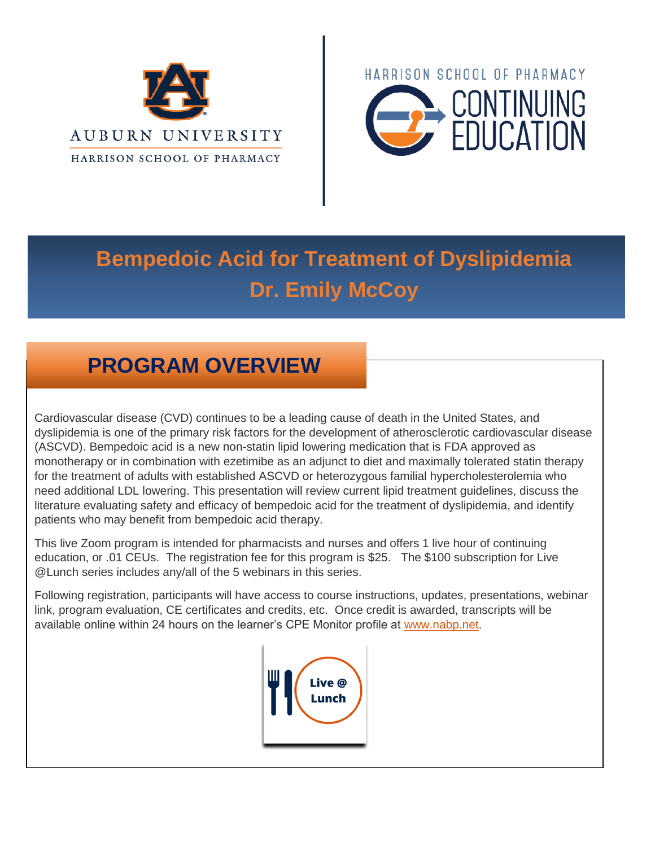



# **Bempedoic Acid for Treatment of Dyslipidemia Dr. Emily McCoy**

## **PROGRAM OVERVIEW**

Cardiovascular disease (CVD) continues to be a leading cause of death in the United States, and dyslipidemia is one of the primary risk factors for the development of atherosclerotic cardiovascular disease (ASCVD). Bempedoic acid is a new non-statin lipid lowering medication that is FDA approved as monotherapy or in combination with ezetimibe as an adjunct to diet and maximally tolerated statin therapy for the treatment of adults with established ASCVD or heterozygous familial hypercholesterolemia who need additional LDL lowering. This presentation will review current lipid treatment guidelines, discuss the literature evaluating safety and efficacy of bempedoic acid for the treatment of dyslipidemia, and identify patients who may benefit from bempedoic acid therapy.

This live Zoom program is intended for pharmacists and nurses and offers 1 live hour of continuing education, or .01 CEUs. The registration fee for this program is \$25. The \$100 subscription for Live @Lunch series includes any/all of the 5 webinars in this series.

Following registration, participants will have access to course instructions, updates, presentations, webinar link, program evaluation, CE certificates and credits, etc. Once credit is awarded, transcripts will be available online within 24 hours on the learner's CPE Monitor profile at [www.nabp.net.](http://www.nabp.net/)

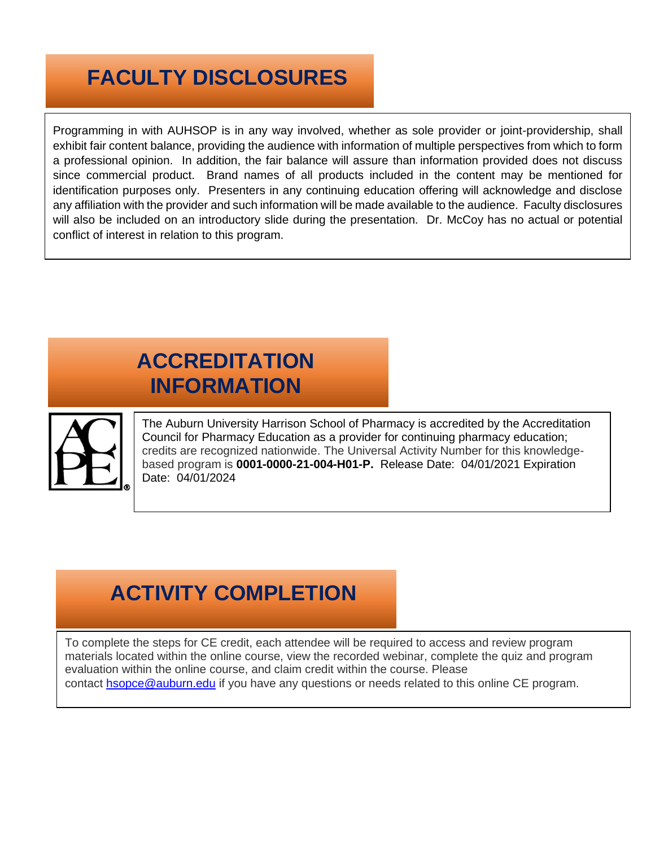## **FACULTY DISCLOSURES**

Programming in with AUHSOP is in any way involved, whether as sole provider or joint-providership, shall exhibit fair content balance, providing the audience with information of multiple perspectives from which to form a professional opinion. In addition, the fair balance will assure than information provided does not discuss since commercial product. Brand names of all products included in the content may be mentioned for identification purposes only. Presenters in any continuing education offering will acknowledge and disclose any affiliation with the provider and such information will be made available to the audience. Faculty disclosures will also be included on an introductory slide during the presentation. Dr. McCoy has no actual or potential conflict of interest in relation to this program.

## **ACCREDITATION INFORMATION**



The Auburn University Harrison School of Pharmacy is accredited by the Accreditation Council for Pharmacy Education as a provider for continuing pharmacy education; credits are recognized nationwide. The Universal Activity Number for this knowledgebased program is **0001-0000-21-004-H01-P.** Release Date: 04/01/2021 Expiration Date: 04/01/2024

#### **ACTIVITY COMPLETION**

To complete the steps for CE credit, each attendee will be required to access and review program materials located within the online course, view the recorded webinar, complete the quiz and program evaluation within the online course, and claim credit within the course. Please contact [hsopce@auburn.edu](mailto:hsopce@auburn.edu) if you have any questions or needs related to this online CE program.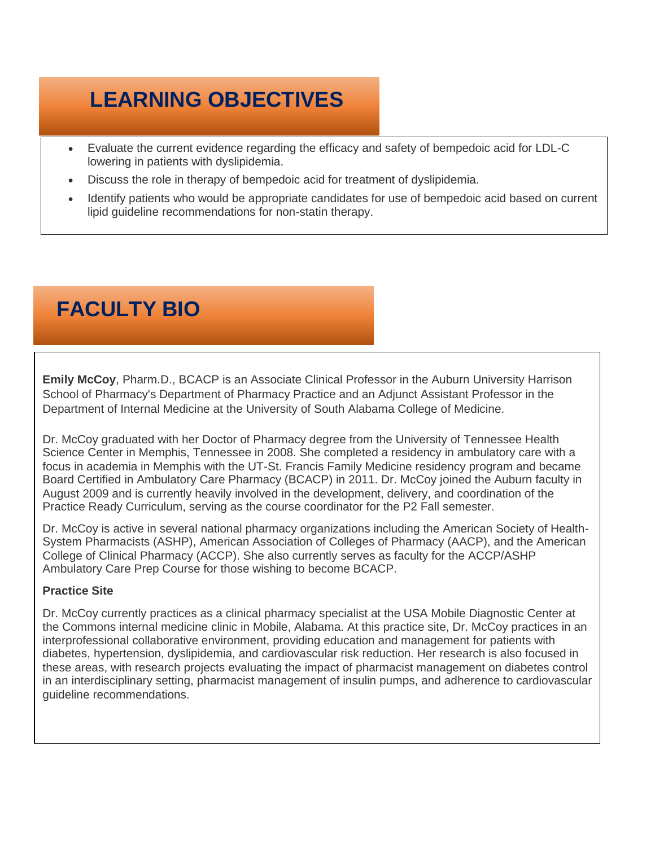## **LEARNING OBJECTIVES**

- Evaluate the current evidence regarding the efficacy and safety of bempedoic acid for LDL-C lowering in patients with dyslipidemia.
- Discuss the role in therapy of bempedoic acid for treatment of dyslipidemia.
- Identify patients who would be appropriate candidates for use of bempedoic acid based on current lipid guideline recommendations for non-statin therapy.

## **FACULTY BIO**

**Emily McCoy**, Pharm.D., BCACP is an Associate Clinical Professor in the Auburn University Harrison School of Pharmacy's Department of Pharmacy Practice and an Adjunct Assistant Professor in the Department of Internal Medicine at the University of South Alabama College of Medicine.

Dr. McCoy graduated with her Doctor of Pharmacy degree from the University of Tennessee Health Science Center in Memphis, Tennessee in 2008. She completed a residency in ambulatory care with a focus in academia in Memphis with the UT-St. Francis Family Medicine residency program and became Board Certified in Ambulatory Care Pharmacy (BCACP) in 2011. Dr. McCoy joined the Auburn faculty in August 2009 and is currently heavily involved in the development, delivery, and coordination of the Practice Ready Curriculum, serving as the course coordinator for the P2 Fall semester.

Dr. McCoy is active in several national pharmacy organizations including the American Society of Health-System Pharmacists (ASHP), American Association of Colleges of Pharmacy (AACP), and the American College of Clinical Pharmacy (ACCP). She also currently serves as faculty for the ACCP/ASHP Ambulatory Care Prep Course for those wishing to become BCACP.

#### **Practice Site**

Dr. McCoy currently practices as a clinical pharmacy specialist at the USA Mobile Diagnostic Center at the Commons internal medicine clinic in Mobile, Alabama. At this practice site, Dr. McCoy practices in an interprofessional collaborative environment, providing education and management for patients with diabetes, hypertension, dyslipidemia, and cardiovascular risk reduction. Her research is also focused in these areas, with research projects evaluating the impact of pharmacist management on diabetes control in an interdisciplinary setting, pharmacist management of insulin pumps, and adherence to cardiovascular guideline recommendations.